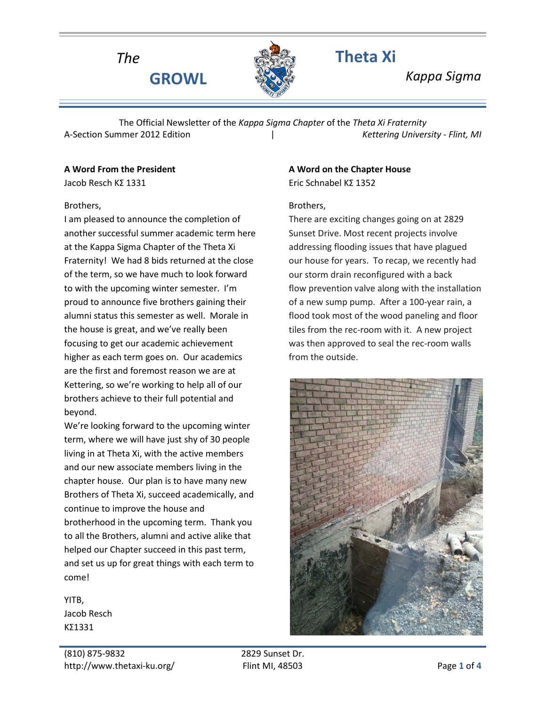

*The* **Theta Xi**

**GROWL** *Kappa Sigma*

The Official Newsletter of the *Kappa Sigma Chapter* of the *Theta Xi Fraternity* A-Section Summer 2012 Edition | *Kettering University - Flint, MI*

#### **A Word From the President**

Jacob Resch ΚΣ 1331

#### Brothers,

I am pleased to announce the completion of another successful summer academic term here at the Kappa Sigma Chapter of the Theta Xi Fraternity! We had 8 bids returned at the close of the term, so we have much to look forward to with the upcoming winter semester. I'm proud to announce five brothers gaining their alumni status this semester as well. Morale in the house is great, and we've really been focusing to get our academic achievement higher as each term goes on. Our academics are the first and foremost reason we are at Kettering, so we're working to help all of our brothers achieve to their full potential and beyond.

We're looking forward to the upcoming winter term, where we will have just shy of 30 people living in at Theta Xi, with the active members and our new associate members living in the chapter house. Our plan is to have many new Brothers of Theta Xi, succeed academically, and continue to improve the house and brotherhood in the upcoming term. Thank you to all the Brothers, alumni and active alike that helped our Chapter succeed in this past term, and set us up for great things with each term to come!

YITB, Jacob Resch ΚΣ1331

#### **A Word on the Chapter House** Eric Schnabel ΚΣ 1352

## Brothers,

There are exciting changes going on at 2829 Sunset Drive. Most recent projects involve addressing flooding issues that have plagued our house for years. To recap, we recently had our storm drain reconfigured with a back flow prevention valve along with the installation of a new sump pump. After a 100-year rain, a flood took most of the wood paneling and floor tiles from the rec-room with it. A new project was then approved to seal the rec-room walls from the outside.

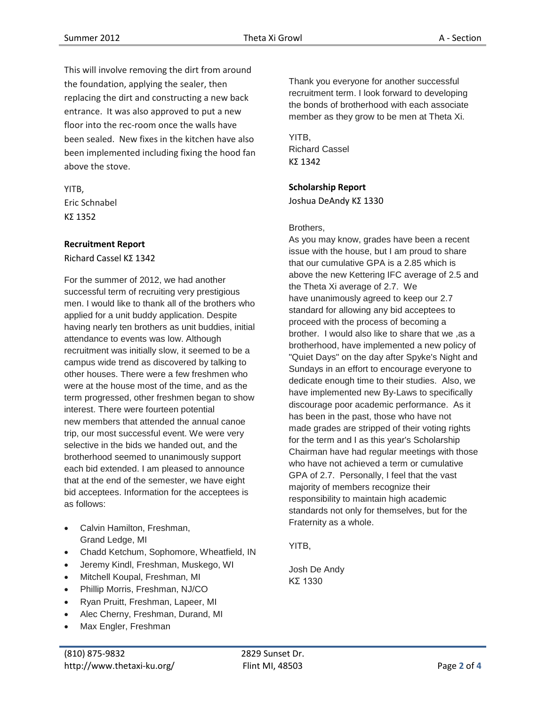This will involve removing the dirt from around the foundation, applying the sealer, then replacing the dirt and constructing a new back entrance. It was also approved to put a new floor into the rec-room once the walls have been sealed. New fixes in the kitchen have also been implemented including fixing the hood fan above the stove.

YITB, Eric Schnabel ΚΣ 1352

## **Recruitment Report**

Richard Cassel ΚΣ 1342

For the summer of 2012, we had another successful term of recruiting very prestigious men. I would like to thank all of the brothers who applied for a unit buddy application. Despite having nearly ten brothers as unit buddies, initial attendance to events was low. Although recruitment was initially slow, it seemed to be a campus wide trend as discovered by talking to other houses. There were a few freshmen who were at the house most of the time, and as the term progressed, other freshmen began to show interest. There were fourteen potential new members that attended the annual canoe trip, our most successful event. We were very selective in the bids we handed out, and the brotherhood seemed to unanimously support each bid extended. I am pleased to announce that at the end of the semester, we have eight bid acceptees. Information for the acceptees is as follows:

- Calvin Hamilton, Freshman, Grand Ledge, MI
- Chadd Ketchum, Sophomore, Wheatfield, IN
- Jeremy Kindl, Freshman, Muskego, WI
- Mitchell Koupal, Freshman, MI
- Phillip Morris, Freshman, NJ/CO
- Ryan Pruitt, Freshman, Lapeer, MI
- Alec Cherny, Freshman, Durand, MI
- Max Engler, Freshman

Thank you everyone for another successful recruitment term. I look forward to developing the bonds of brotherhood with each associate member as they grow to be men at Theta Xi.

YITB, Richard Cassel ΚΣ 1342

## **Scholarship Report**

Joshua DeAndy ΚΣ 1330

#### Brothers,

As you may know, grades have been a recent issue with the house, but I am proud to share that our cumulative GPA is a 2.85 which is above the new Kettering IFC average of 2.5 and the Theta Xi average of 2.7. We have unanimously agreed to keep our 2.7 standard for allowing any bid acceptees to proceed with the process of becoming a brother. I would also like to share that we ,as a brotherhood, have implemented a new policy of "Quiet Days" on the day after Spyke's Night and Sundays in an effort to encourage everyone to dedicate enough time to their studies. Also, we have implemented new By-Laws to specifically discourage poor academic performance. As it has been in the past, those who have not made grades are stripped of their voting rights for the term and I as this year's Scholarship Chairman have had regular meetings with those who have not achieved a term or cumulative GPA of 2.7. Personally, I feel that the vast majority of members recognize their responsibility to maintain high academic standards not only for themselves, but for the Fraternity as a whole.

YITB,

Josh De Andy KΣ 1330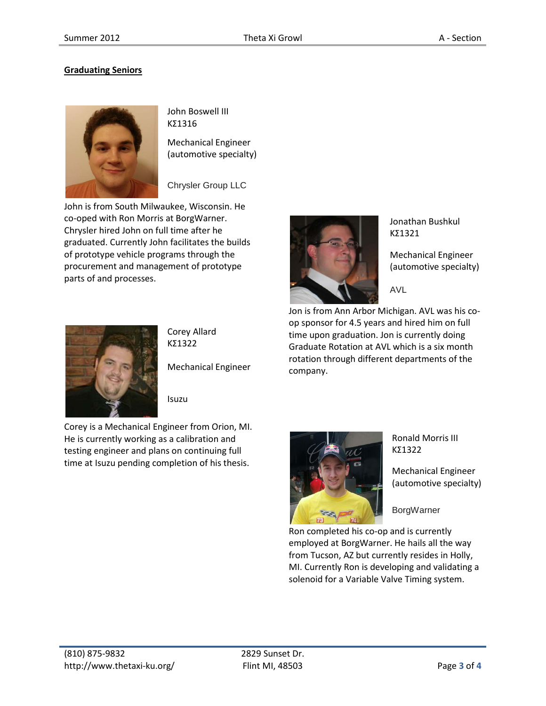# **Graduating Seniors**



John Boswell III ΚΣ1316

Mechanical Engineer (automotive specialty)

Chrysler Group LLC

John is from South Milwaukee, Wisconsin. He co-oped with Ron Morris at BorgWarner. Chrysler hired John on full time after he graduated. Currently John facilitates the builds of prototype vehicle programs through the procurement and management of prototype parts of and processes.



company.

Jonathan Bushkul ΚΣ1321

Mechanical Engineer (automotive specialty)

AVL

op sponsor for 4.5 years and hired him on full time upon graduation. Jon is currently doing Graduate Rotation at AVL which is a six month rotation through different departments of the



Corey Allard ΚΣ1322

Mechanical Engineer

Isuzu

Corey is a Mechanical Engineer from Orion, MI. He is currently working as a calibration and testing engineer and plans on continuing full time at Isuzu pending completion of his thesis.



Ronald Morris III ΚΣ1322

Mechanical Engineer (automotive specialty)

**BorgWarner** 

Ron completed his co-op and is currently employed at BorgWarner. He hails all the way from Tucson, AZ but currently resides in Holly, MI. Currently Ron is developing and validating a solenoid for a Variable Valve Timing system.